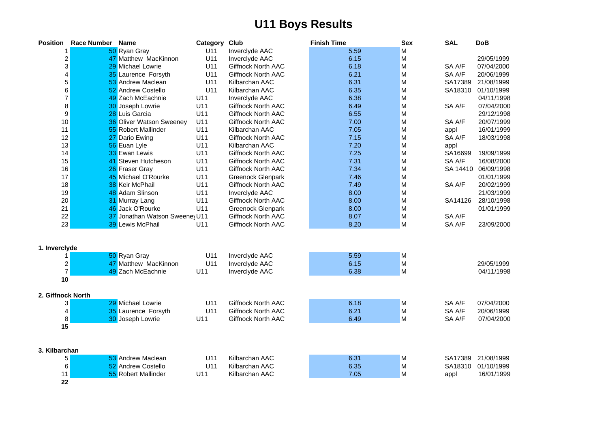## **U11 Boys Results**

| <b>Position</b>         | Race Number Name |                                | Category Club |                           | <b>Finish Time</b> | <b>Sex</b> | <b>SAL</b> | <b>DoB</b> |
|-------------------------|------------------|--------------------------------|---------------|---------------------------|--------------------|------------|------------|------------|
| $\mathbf{1}$            |                  | 50 Ryan Gray                   | U11           | Inverclyde AAC            | 5.59               | M          |            |            |
| $\frac{2}{3}$           |                  | 47 Matthew MacKinnon           | U11           | Inverclyde AAC            | 6.15               | M          |            | 29/05/1999 |
|                         |                  | 29 Michael Lowrie              | U11           | Giffnock North AAC        | 6.18               | M          | SA A/F     | 07/04/2000 |
| $\overline{\mathbf{r}}$ |                  | 35 Laurence Forsyth            | U11           | Giffnock North AAC        | 6.21               | M          | SA A/F     | 20/06/1999 |
| 5                       |                  | 53 Andrew Maclean              | U11           | Kilbarchan AAC            | 6.31               | M          | SA17389    | 21/08/1999 |
| 6                       |                  | 52 Andrew Costello             | U11           | Kilbarchan AAC            | 6.35               | M          | SA18310    | 01/10/1999 |
| $\overline{7}$          |                  | 49 Zach McEachnie              | U11           | Inverclyde AAC            | 6.38               | M          |            | 04/11/1998 |
| 8                       |                  | 30 Joseph Lowrie               | U11           | Giffnock North AAC        | 6.49               | M          | SA A/F     | 07/04/2000 |
| 9                       |                  | 28 Luis Garcia                 | U11           | Giffnock North AAC        | 6.55               | M          |            | 29/12/1998 |
| 10                      |                  | 36 Oliver Watson Sweeney       | U11           | Giffnock North AAC        | 7.00               | M          | SA A/F     | 20/07/1999 |
| 11                      |                  | 55 Robert Mallinder            | U11           | Kilbarchan AAC            | 7.05               | M          | appl       | 16/01/1999 |
| 12                      |                  | 27 Dario Ewing                 | U11           | Giffnock North AAC        | 7.15               | M          | SA A/F     | 18/03/1998 |
| 13                      |                  | 56 Euan Lyle                   | U11           | Kilbarchan AAC            | 7.20               | M          | appl       |            |
| 14                      |                  | 33 Ewan Lewis                  | U11           | Giffnock North AAC        | 7.25               | M          | SA16699    | 19/09/1999 |
| 15                      |                  | 41 Steven Hutcheson            | U11           | Giffnock North AAC        | 7.31               | M          | SA A/F     | 16/08/2000 |
| 16                      |                  | 26 Fraser Gray                 | U11           | <b>Giffnock North AAC</b> | 7.34               | M          | SA 14410   | 06/09/1998 |
| 17                      |                  | 45 Michael O'Rourke            | U11           | <b>Greenock Glenpark</b>  | 7.46               | M          |            | 01/01/1999 |
| 18                      |                  | 38 Keir McPhail                | U11           | <b>Giffnock North AAC</b> | 7.49               | M          | SA A/F     | 20/02/1999 |
| 19                      |                  | 48 Adam Slinson                | U11           | Inverclyde AAC            | 8.00               | M          |            | 21/03/1999 |
| 20                      |                  | 31 Murray Lang                 | U11           | Giffnock North AAC        | 8.00               | M          | SA14126    | 28/10/1998 |
| 21                      |                  | 46 Jack O'Rourke               | U11           | <b>Greenock Glenpark</b>  | 8.00               | M          |            | 01/01/1999 |
| 22                      |                  | 37 Jonathan Watson Sweeney U11 |               | <b>Giffnock North AAC</b> | 8.07               | M          | SA A/F     |            |
| 23                      |                  | 39 Lewis McPhail               | U11           | <b>Giffnock North AAC</b> | 8.20               | M          | SA A/F     | 23/09/2000 |
|                         |                  |                                |               |                           |                    |            |            |            |
| 1. Inverclyde           |                  |                                |               |                           |                    |            |            |            |
| 1                       |                  | 50 Ryan Gray                   | U11           | Inverclyde AAC            | 5.59               | M          |            |            |
|                         |                  | 47 Matthew MacKinnon           | U11           | Inverclyde AAC            | 6.15               | M          |            | 29/05/1999 |
| $\frac{2}{7}$           |                  | 49 Zach McEachnie              | U11           | Inverclyde AAC            | 6.38               | M          |            | 04/11/1998 |
| 10                      |                  |                                |               |                           |                    |            |            |            |
|                         |                  |                                |               |                           |                    |            |            |            |
| 2. Giffnock North       |                  |                                |               |                           |                    |            |            |            |
| $\overline{3}$          |                  | 29 Michael Lowrie              | U11           | <b>Giffnock North AAC</b> | 6.18               | M          | SA A/F     | 07/04/2000 |
| $\overline{\mathbf{4}}$ |                  | 35 Laurence Forsyth            | U11           | <b>Giffnock North AAC</b> | 6.21               | M          | SA A/F     | 20/06/1999 |
| 8                       |                  | 30 Joseph Lowrie               | U11           | Giffnock North AAC        | 6.49               | M          | SA A/F     | 07/04/2000 |
| 15                      |                  |                                |               |                           |                    |            |            |            |
|                         |                  |                                |               |                           |                    |            |            |            |
| 3. Kilbarchan           |                  |                                |               |                           |                    |            |            |            |
| 5                       |                  | 53 Andrew Maclean              | U11           | Kilbarchan AAC            | 6.31               | M          | SA17389    | 21/08/1999 |
| 6                       |                  | 52 Andrew Costello             | U11           | Kilbarchan AAC            | 6.35               | M          | SA18310    | 01/10/1999 |
| 11                      |                  | 55 Robert Mallinder            | U11           | Kilbarchan AAC            | 7.05               | M          | appl       | 16/01/1999 |
| 22                      |                  |                                |               |                           |                    |            |            |            |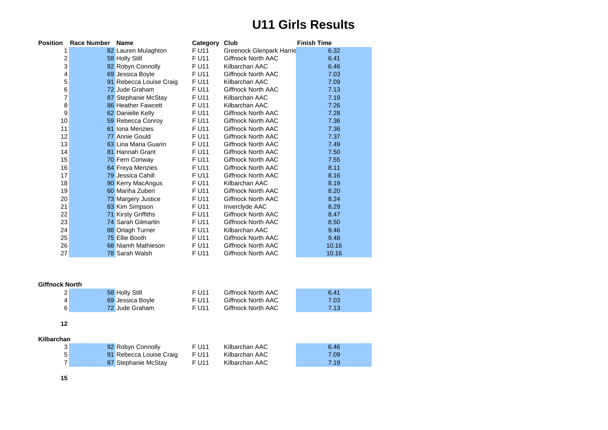### **U11 Girls Results**

| Position         | <b>Race Number</b> | <b>Name</b>             | Category | Club                      | <b>Finish Time</b> |
|------------------|--------------------|-------------------------|----------|---------------------------|--------------------|
| 1                |                    | 82 Lauren Mulaghton     | F U11    | Greenock Glenpark Harrie  | 6.32               |
| $\frac{2}{3}$    |                    | 58 Holly Still          | F U11    | Giffnock North AAC        | 6.41               |
|                  |                    | 92 Robyn Connolly       | F U11    | Kilbarchan AAC            | 6.46               |
| 4                |                    | 69 Jessica Boyle        | F U11    | Giffnock North AAC        | 7.03               |
| 5                |                    | 91 Rebecca Louise Craig | F U11    | Kilbarchan AAC            | 7.09               |
| 6                |                    | 72 Jude Graham          | F U11    | <b>Giffnock North AAC</b> | 7.13               |
| 7                |                    | 87 Stephanie McStay     | F U11    | Kilbarchan AAC            | 7.19               |
| 8                |                    | 86 Heather Fawcett      | F U11    | Kilbarchan AAC            | 7.26               |
| $\boldsymbol{9}$ |                    | 62 Danielle Kelly       | F U11    | <b>Giffnock North AAC</b> | 7.28               |
| 10               |                    | 59 Rebecca Conroy       | F U11    | Giffnock North AAC        | 7.36               |
| 11               |                    | 61 Iona Menzies         | F U11    | Giffnock North AAC        | 7.36               |
| 12               |                    | 77 Annie Gould          | F U11    | Giffnock North AAC        | 7.37               |
| 13               |                    | 63 Lina Maria Guarin    | F U11    | Giffnock North AAC        | 7.49               |
| 14               |                    | 81 Hannah Grant         | F U11    | Giffnock North AAC        | 7.50               |
| 15               |                    | 70 Fern Conway          | F U11    | Giffnock North AAC        | 7.55               |
| 16               |                    | 64 Freya Menzies        | F U11    | <b>Giffnock North AAC</b> | 8.11               |
| 17               |                    | 79 Jessica Cahill       | F U11    | Giffnock North AAC        | 8.16               |
| 18               |                    | 90 Kerry MacAngus       | F U11    | Kilbarchan AAC            | 8.19               |
| 19               |                    | 60 Mariha Zuberi        | F U11    | Giffnock North AAC        | 8.20               |
| 20               |                    | 73 Margery Justice      | F U11    | Giffnock North AAC        | 8.24               |
| 21               |                    | 83 Kim Simpson          | F U11    | Inverclyde AAC            | 8.29               |
| 22               |                    | 71 Kirsty Griffiths     | F U11    | Giffnock North AAC        | 8.47               |
| 23               |                    | 74 Sarah Gilmartin      | F U11    | Giffnock North AAC        | 8.50               |
| 24               |                    | 88 Orlagh Turner        | F U11    | Kilbarchan AAC            | 9.46               |
| 25               |                    | 75 Ellie Booth          | F U11    | Giffnock North AAC        | 9.48               |
| 26               |                    | 68 Niamh Mathieson      | F U11    | Giffnock North AAC        | 10.16              |
| 27               |                    | 78 Sarah Walsh          | F U11    | Giffnock North AAC        | 10.16              |

#### **Giffnock North**

| ▵ | 58 Holly Still   | F U <sub>11</sub> | Giffnock North AAC | 6.41 |
|---|------------------|-------------------|--------------------|------|
|   | 69 Jessica Boyle | F U <sub>11</sub> | Giffnock North AAC | 7.03 |
|   | 72 Jude Graham   | F U11             | Giffnock North AAC | 7.13 |

#### **Kilbarchan**

| 92 Robyn Connolly |                         | F U11<br>Kilbarchan AAC | 6.46 |  |
|-------------------|-------------------------|-------------------------|------|--|
|                   | 91 Rebecca Louise Craig | F U11<br>Kilbarchan AAC | 7.09 |  |
|                   | 87 Stephanie McStav     | F U11<br>Kilbarchan AAC | 7.19 |  |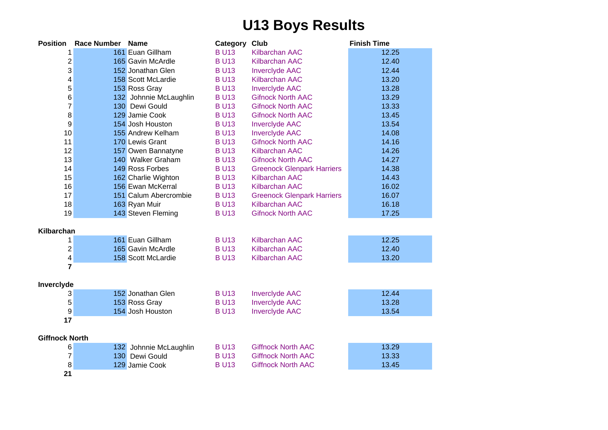# **U13 Boys Results**

| <b>Position</b>                       | <b>Race Number</b> | <b>Name</b>            | Category Club |                                   | <b>Finish Time</b> |
|---------------------------------------|--------------------|------------------------|---------------|-----------------------------------|--------------------|
| 1                                     |                    | 161 Euan Gillham       | <b>BU13</b>   | Kilbarchan AAC                    | 12.25              |
| $\frac{2}{3}$                         |                    | 165 Gavin McArdle      | <b>BU13</b>   | <b>Kilbarchan AAC</b>             | 12.40              |
|                                       |                    | 152 Jonathan Glen      | <b>BU13</b>   | <b>Inverciyde AAC</b>             | 12.44              |
| 4                                     |                    | 158 Scott McLardie     | <b>BU13</b>   | Kilbarchan AAC                    | 13.20              |
| 5                                     |                    | 153 Ross Gray          | <b>BU13</b>   | <b>Inverclyde AAC</b>             | 13.28              |
| $\frac{6}{7}$                         |                    | 132 Johnnie McLaughlin | <b>BU13</b>   | <b>Gifnock North AAC</b>          | 13.29              |
|                                       |                    | 130 Dewi Gould         | <b>BU13</b>   | <b>Gifnock North AAC</b>          | 13.33              |
| 8                                     |                    | 129 Jamie Cook         | <b>BU13</b>   | <b>Gifnock North AAC</b>          | 13.45              |
| 9                                     |                    | 154 Josh Houston       | <b>BU13</b>   | <b>Inverclyde AAC</b>             | 13.54              |
| 10                                    |                    | 155 Andrew Kelham      | <b>BU13</b>   | <b>Inverciyde AAC</b>             | 14.08              |
| 11                                    |                    | 170 Lewis Grant        | <b>BU13</b>   | <b>Gifnock North AAC</b>          | 14.16              |
| 12                                    |                    | 157 Owen Bannatyne     | <b>BU13</b>   | Kilbarchan AAC                    | 14.26              |
| 13                                    |                    | 140 Walker Graham      | <b>BU13</b>   | <b>Gifnock North AAC</b>          | 14.27              |
| 14                                    |                    | 149 Ross Forbes        | <b>BU13</b>   | <b>Greenock Glenpark Harriers</b> | 14.38              |
| 15                                    |                    | 162 Charlie Wighton    | <b>BU13</b>   | <b>Kilbarchan AAC</b>             | 14.43              |
| 16                                    |                    | 156 Ewan McKerral      | <b>BU13</b>   | <b>Kilbarchan AAC</b>             | 16.02              |
| 17                                    |                    | 151 Calum Abercrombie  | <b>BU13</b>   | <b>Greenock Glenpark Harriers</b> | 16.07              |
| 18                                    |                    | 163 Ryan Muir          | <b>BU13</b>   | <b>Kilbarchan AAC</b>             | 16.18              |
| 19                                    |                    | 143 Steven Fleming     | <b>BU13</b>   | <b>Gifnock North AAC</b>          | 17.25              |
|                                       |                    |                        |               |                                   |                    |
| Kilbarchan                            |                    |                        |               |                                   |                    |
| 1                                     |                    | 161 Euan Gillham       | <b>BU13</b>   | <b>Kilbarchan AAC</b>             | 12.25              |
| $\begin{array}{c} 2 \\ 4 \end{array}$ |                    | 165 Gavin McArdle      | <b>BU13</b>   | <b>Kilbarchan AAC</b>             | 12.40              |
|                                       |                    | 158 Scott McLardie     | <b>BU13</b>   | <b>Kilbarchan AAC</b>             | 13.20              |
| $\overline{7}$                        |                    |                        |               |                                   |                    |
| Inverclyde                            |                    |                        |               |                                   |                    |
|                                       |                    | 152 Jonathan Glen      | <b>BU13</b>   | <b>Inverclyde AAC</b>             | 12.44              |
| 3<br>5                                |                    | 153 Ross Gray          | <b>BU13</b>   | <b>Inverclyde AAC</b>             | 13.28              |
| 9                                     |                    | 154 Josh Houston       | <b>BU13</b>   | <b>Inverclyde AAC</b>             | 13.54              |
| 17                                    |                    |                        |               |                                   |                    |
|                                       |                    |                        |               |                                   |                    |
| <b>Giffnock North</b>                 |                    |                        |               |                                   |                    |
| 6                                     |                    | 132 Johnnie McLaughlin | <b>BU13</b>   | <b>Giffnock North AAC</b>         | 13.29              |
| $\overline{7}$                        |                    | 130 Dewi Gould         | <b>BU13</b>   | <b>Giffnock North AAC</b>         | 13.33              |
| 8                                     |                    | 129 Jamie Cook         | <b>BU13</b>   | <b>Giffnock North AAC</b>         | 13.45              |
| 21                                    |                    |                        |               |                                   |                    |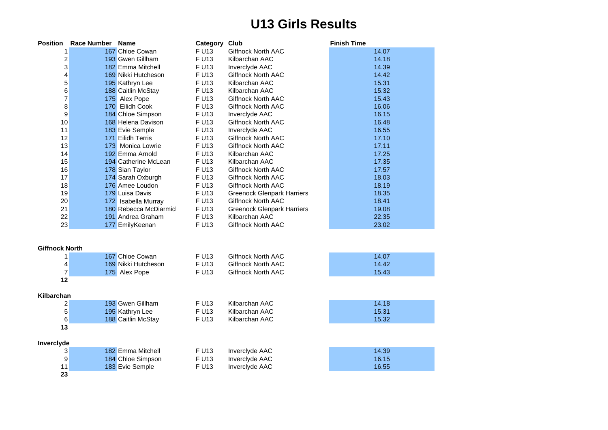### **U13 Girls Results**

|                       | <b>Position Race Number Name</b> |                       | Category Club     |                                   | <b>Finish Time</b> |
|-----------------------|----------------------------------|-----------------------|-------------------|-----------------------------------|--------------------|
| 1                     |                                  | 167 Chloe Cowan       | F U13             | <b>Giffnock North AAC</b>         | 14.07              |
| 2                     |                                  | 193 Gwen Gillham      | F U13             | Kilbarchan AAC                    | 14.18              |
| 3                     |                                  | 182 Emma Mitchell     | F U13             | Inverclyde AAC                    | 14.39              |
| 4                     |                                  | 169 Nikki Hutcheson   | F U13             | <b>Giffnock North AAC</b>         | 14.42              |
| 5                     |                                  | 195 Kathryn Lee       | F U13             | Kilbarchan AAC                    | 15.31              |
| 6                     |                                  | 188 Caitlin McStay    | F U13             | Kilbarchan AAC                    | 15.32              |
| $\overline{7}$        |                                  | 175 Alex Pope         | F U13             | <b>Giffnock North AAC</b>         | 15.43              |
| 8                     |                                  | 170 Eilidh Cook       | F U13             | Giffnock North AAC                | 16.06              |
| 9                     |                                  | 184 Chloe Simpson     | F U13             | Inverclyde AAC                    | 16.15              |
| $10$                  |                                  | 168 Helena Davison    | F U13             | Giffnock North AAC                | 16.48              |
| 11                    |                                  | 183 Evie Semple       | F U13             | Inverclyde AAC                    | 16.55              |
| 12                    |                                  | 171 Eilidh Terris     | F U13             | Giffnock North AAC                | 17.10              |
| 13                    |                                  | 173 Monica Lowrie     | F U13             | Giffnock North AAC                | 17.11              |
| 14                    |                                  | 192 Emma Arnold       | F U13             | Kilbarchan AAC                    | 17.25              |
| 15                    |                                  | 194 Catherine McLean  | F U13             | Kilbarchan AAC                    | 17.35              |
| 16                    |                                  | 178 Sian Taylor       | F U13             | Giffnock North AAC                | 17.57              |
| 17                    |                                  | 174 Sarah Oxburgh     | F U13             | <b>Giffnock North AAC</b>         | 18.03              |
| 18                    |                                  | 176 Amee Loudon       | F U13             | Giffnock North AAC                | 18.19              |
| 19                    |                                  | 179 Luisa Davis       | F U13             | <b>Greenock Glenpark Harriers</b> | 18.35              |
| 20                    |                                  | 172 Isabella Murray   | F U13             | <b>Giffnock North AAC</b>         | 18.41              |
| 21                    |                                  | 180 Rebecca McDiarmid | F U13             | <b>Greenock Glenpark Harriers</b> | 19.08              |
| 22                    |                                  | 191 Andrea Graham     | F U13             | Kilbarchan AAC                    | 22.35              |
| 23                    |                                  | 177 EmilyKeenan       | F U13             | <b>Giffnock North AAC</b>         | 23.02              |
|                       |                                  |                       |                   |                                   |                    |
|                       |                                  |                       |                   |                                   |                    |
| <b>Giffnock North</b> |                                  |                       |                   |                                   |                    |
| 1                     |                                  | 167 Chloe Cowan       | F U13             | Giffnock North AAC                | 14.07              |
| 4                     |                                  | 169 Nikki Hutcheson   | F U13             | Giffnock North AAC                | 14.42              |
| $\overline{7}$        |                                  | 175 Alex Pope         | F U13             | Giffnock North AAC                | 15.43              |
| 12                    |                                  |                       |                   |                                   |                    |
|                       |                                  |                       |                   |                                   |                    |
| Kilbarchan            |                                  |                       |                   |                                   |                    |
| 2                     |                                  | 193 Gwen Gillham      | F U <sub>13</sub> | Kilbarchan AAC                    | 14.18              |
| 5                     |                                  | 195 Kathryn Lee       | F U13             | Kilbarchan AAC                    | 15.31              |
| 6                     |                                  | 188 Caitlin McStay    | F U13             | Kilbarchan AAC                    | 15.32              |
| 13                    |                                  |                       |                   |                                   |                    |
| Inverclyde            |                                  |                       |                   |                                   |                    |
| 3                     |                                  | 182 Emma Mitchell     | F U13             | Inverclyde AAC                    | 14.39              |
| 9                     |                                  | 184 Chloe Simpson     | F U13             | Inverclyde AAC                    | 16.15              |
| 11                    |                                  | 183 Evie Semple       | F U13             | Inverclyde AAC                    | 16.55              |
| 23                    |                                  |                       |                   |                                   |                    |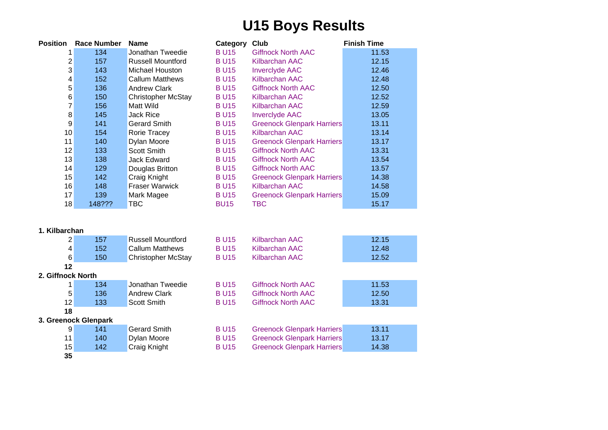# **U15 Boys Results**

| Position         | Race Number | <b>Name</b>               | Category    | Club                              | <b>Finish Time</b> |
|------------------|-------------|---------------------------|-------------|-----------------------------------|--------------------|
|                  | 134         | Jonathan Tweedie          | <b>BU15</b> | <b>Giffnock North AAC</b>         | 11.53              |
| 2                | 157         | <b>Russell Mountford</b>  | <b>BU15</b> | Kilbarchan AAC                    | 12.15              |
| 3                | 143         | Michael Houston           | <b>BU15</b> | <b>Inverciyde AAC</b>             | 12.46              |
| 4                | 152         | <b>Callum Matthews</b>    | <b>BU15</b> | Kilbarchan AAC                    | 12.48              |
| 5                | 136         | Andrew Clark              | <b>BU15</b> | <b>Giffnock North AAC</b>         | 12.50              |
| 6                | 150         | <b>Christopher McStay</b> | <b>BU15</b> | Kilbarchan AAC                    | 12.52              |
| 7                | 156         | Matt Wild                 | <b>BU15</b> | Kilbarchan AAC                    | 12.59              |
| 8                | 145         | Jack Rice                 | <b>BU15</b> | <b>Inverciyde AAC</b>             | 13.05              |
| $\boldsymbol{9}$ | 141         | Gerard Smith              | <b>BU15</b> | <b>Greenock Glenpark Harriers</b> | 13.11              |
| 10               | 154         | Rorie Tracey              | <b>BU15</b> | Kilbarchan AAC                    | 13.14              |
| 11               | 140         | Dylan Moore               | <b>BU15</b> | <b>Greenock Glenpark Harriers</b> | 13.17              |
| 12               | 133         | Scott Smith               | <b>BU15</b> | <b>Giffnock North AAC</b>         | 13.31              |
| 13               | 138         | Jack Edward               | <b>BU15</b> | <b>Giffnock North AAC</b>         | 13.54              |
| 14               | 129         | Douglas Britton           | <b>BU15</b> | <b>Giffnock North AAC</b>         | 13.57              |
| 15               | 142         | Craig Knight              | <b>BU15</b> | <b>Greenock Glenpark Harriers</b> | 14.38              |
| 16               | 148         | <b>Fraser Warwick</b>     | <b>BU15</b> | Kilbarchan AAC                    | 14.58              |
| 17               | 139         | Mark Magee                | <b>BU15</b> | <b>Greenock Glenpark Harriers</b> | 15.09              |
| 18               | 148???      | TBC                       | <b>BU15</b> | <b>TBC</b>                        | 15.17              |
|                  |             |                           |             |                                   |                    |

### **1. Kilbarchan**

| 2                 | 157                  | <b>Russell Mountford</b>  | <b>BU15</b> | Kilbarchan AAC                    | 12.15 |
|-------------------|----------------------|---------------------------|-------------|-----------------------------------|-------|
| 4                 | 152                  | Callum Matthews           | <b>BU15</b> | Kilbarchan AAC                    | 12.48 |
| 6                 | 150                  | <b>Christopher McStay</b> | <b>BU15</b> | Kilbarchan AAC                    | 12.52 |
| 12                |                      |                           |             |                                   |       |
| 2. Giffnock North |                      |                           |             |                                   |       |
|                   | 134                  | Jonathan Tweedie          | <b>BU15</b> | <b>Giffnock North AAC</b>         | 11.53 |
| 5                 | 136                  | <b>Andrew Clark</b>       | <b>BU15</b> | <b>Giffnock North AAC</b>         | 12.50 |
| 12                | 133                  | Scott Smith               | <b>BU15</b> | <b>Giffnock North AAC</b>         | 13.31 |
| 18                |                      |                           |             |                                   |       |
|                   | 3. Greenock Glenpark |                           |             |                                   |       |
| 9                 | 141                  | <b>Gerard Smith</b>       | <b>BU15</b> | <b>Greenock Glenpark Harriers</b> | 13.11 |
| 11                | 140                  | Dylan Moore               | <b>BU15</b> | <b>Greenock Glenpark Harriers</b> | 13.17 |
| 15                | 142                  | Craig Knight              | <b>BU15</b> | <b>Greenock Glenpark Harriers</b> | 14.38 |
| 35                |                      |                           |             |                                   |       |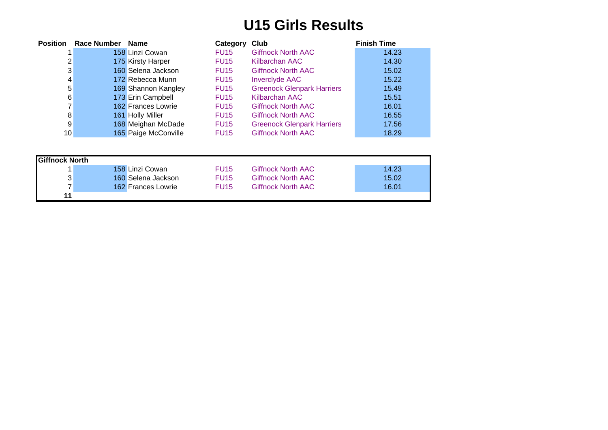## **U15 Girls Results**

| <b>Position</b> | <b>Race Number</b> | Name                 | Category    | Club                              | <b>Finish Time</b> |
|-----------------|--------------------|----------------------|-------------|-----------------------------------|--------------------|
|                 |                    | 158 Linzi Cowan      | <b>FU15</b> | <b>Giffnock North AAC</b>         | 14.23              |
| 2               |                    | 175 Kirsty Harper    | <b>FU15</b> | Kilbarchan AAC                    | 14.30              |
| 3               |                    | 160 Selena Jackson   | <b>FU15</b> | <b>Giffnock North AAC</b>         | 15.02              |
| 4               |                    | 172 Rebecca Munn     | <b>FU15</b> | <b>Inverciyde AAC</b>             | 15.22              |
| 5               |                    | 169 Shannon Kangley  | <b>FU15</b> | <b>Greenock Glenpark Harriers</b> | 15.49              |
| 6               |                    | 173 Erin Campbell    | <b>FU15</b> | Kilbarchan AAC                    | 15.51              |
| 7               |                    | 162 Frances Lowrie   | <b>FU15</b> | <b>Giffnock North AAC</b>         | 16.01              |
| 8               |                    | 161 Holly Miller     | <b>FU15</b> | <b>Giffnock North AAC</b>         | 16.55              |
| 9               |                    | 168 Meighan McDade   | <b>FU15</b> | <b>Greenock Glenpark Harriers</b> | 17.56              |
| 10              |                    | 165 Paige McConville | <b>FU15</b> | <b>Giffnock North AAC</b>         | 18.29              |

| <b>Giffnock North</b> |                    |             |                           |                    |
|-----------------------|--------------------|-------------|---------------------------|--------------------|
|                       | 158 Linzi Cowan    | <b>FU15</b> | <b>Giffnock North AAC</b> | 14.23              |
| 3                     | 160 Selena Jackson | <b>FU15</b> | <b>Giffnock North AAC</b> | 15.02 <sub>1</sub> |
|                       | 162 Frances Lowrie | <b>FU15</b> | Giffnock North AAC        | 16.01              |
| 11                    |                    |             |                           |                    |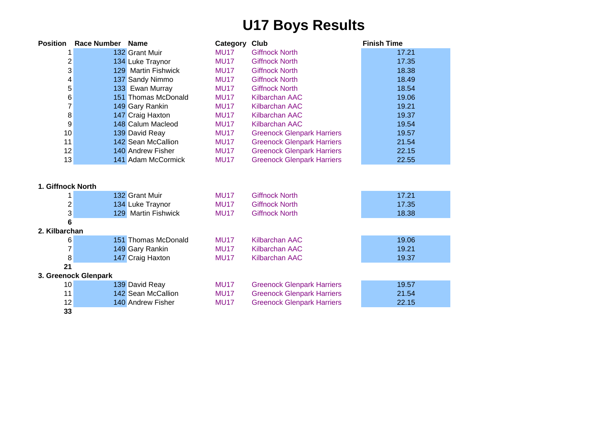# **U17 Boys Results**

| <b>Position</b>         | <b>Race Number</b>   | <b>Name</b>         | Category    | Club                              | <b>Finish Time</b> |
|-------------------------|----------------------|---------------------|-------------|-----------------------------------|--------------------|
| 1                       |                      | 132 Grant Muir      | <b>MU17</b> | <b>Giffnock North</b>             | 17.21              |
| $\frac{2}{3}$           |                      | 134 Luke Traynor    | <b>MU17</b> | <b>Giffnock North</b>             | 17.35              |
|                         |                      | 129 Martin Fishwick | <b>MU17</b> | <b>Giffnock North</b>             | 18.38              |
| $\overline{\mathbf{4}}$ |                      | 137 Sandy Nimmo     | <b>MU17</b> | <b>Giffnock North</b>             | 18.49              |
| $\frac{5}{6}$           |                      | 133 Ewan Murray     | <b>MU17</b> | <b>Giffnock North</b>             | 18.54              |
|                         |                      | 151 Thomas McDonald | <b>MU17</b> | <b>Kilbarchan AAC</b>             | 19.06              |
| $\overline{7}$          |                      | 149 Gary Rankin     | <b>MU17</b> | <b>Kilbarchan AAC</b>             | 19.21              |
| 8                       |                      | 147 Craig Haxton    | <b>MU17</b> | <b>Kilbarchan AAC</b>             | 19.37              |
| $\boldsymbol{9}$        |                      | 148 Calum Macleod   | <b>MU17</b> | Kilbarchan AAC                    | 19.54              |
| 10                      |                      | 139 David Reay      | <b>MU17</b> | <b>Greenock Glenpark Harriers</b> | 19.57              |
| 11                      |                      | 142 Sean McCallion  | <b>MU17</b> | <b>Greenock Glenpark Harriers</b> | 21.54              |
| 12                      |                      | 140 Andrew Fisher   | <b>MU17</b> | <b>Greenock Glenpark Harriers</b> | 22.15              |
| 13                      |                      | 141 Adam McCormick  | <b>MU17</b> | <b>Greenock Glenpark Harriers</b> | 22.55              |
|                         |                      |                     |             |                                   |                    |
| 1. Giffnock North       |                      |                     |             |                                   |                    |
| 1                       |                      | 132 Grant Muir      | <b>MU17</b> | <b>Giffnock North</b>             | 17.21              |
| $\frac{2}{3}$           |                      | 134 Luke Traynor    | <b>MU17</b> | <b>Giffnock North</b>             | 17.35              |
|                         |                      | 129 Martin Fishwick | <b>MU17</b> | <b>Giffnock North</b>             | 18.38              |
| 6                       |                      |                     |             |                                   |                    |
| 2. Kilbarchan           |                      |                     |             |                                   |                    |
| 6                       |                      | 151 Thomas McDonald | <b>MU17</b> | <b>Kilbarchan AAC</b>             | 19.06              |
| 7                       |                      | 149 Gary Rankin     | <b>MU17</b> | <b>Kilbarchan AAC</b>             | 19.21              |
| 8                       |                      | 147 Craig Haxton    | <b>MU17</b> | Kilbarchan AAC                    | 19.37              |
| 21                      |                      |                     |             |                                   |                    |
|                         | 3. Greenock Glenpark |                     |             |                                   |                    |
| 10                      |                      | 139 David Reay      | <b>MU17</b> | <b>Greenock Glenpark Harriers</b> | 19.57              |
| 11                      |                      | 142 Sean McCallion  | <b>MU17</b> | <b>Greenock Glenpark Harriers</b> | 21.54              |
| 12                      |                      | 140 Andrew Fisher   | <b>MU17</b> | <b>Greenock Glenpark Harriers</b> | 22.15              |
| 33                      |                      |                     |             |                                   |                    |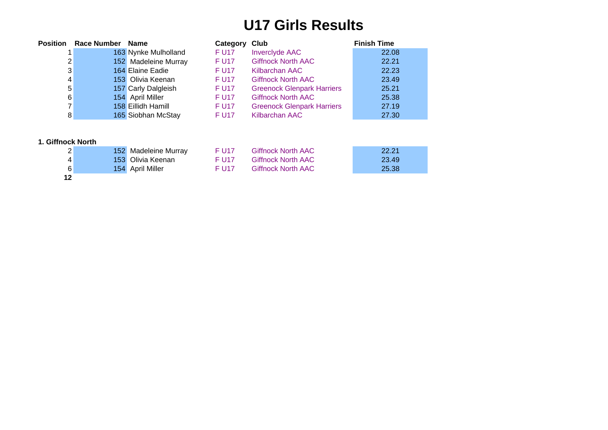## **U17 Girls Results**

|   | <b>Position Race Number</b> | <b>Name</b>          | Category    | Club                              | <b>Finish Time</b> |
|---|-----------------------------|----------------------|-------------|-----------------------------------|--------------------|
|   |                             | 163 Nynke Mulholland | F U17       | <b>Inverciyde AAC</b>             | 22.08              |
| 2 |                             | 152 Madeleine Murray | F U17       | <b>Giffnock North AAC</b>         | 22.21              |
| 3 |                             | 164 Elaine Eadie     | <b>FU17</b> | Kilbarchan AAC                    | 22.23              |
| 4 |                             | 153 Olivia Keenan    | <b>FU17</b> | <b>Giffnock North AAC</b>         | 23.49              |
| 5 |                             | 157 Carly Dalgleish  | <b>FU17</b> | <b>Greenock Glenpark Harriers</b> | 25.21              |
| 6 |                             | 154 April Miller     | <b>FU17</b> | <b>Giffnock North AAC</b>         | 25.38              |
|   |                             | 158 Eillidh Hamill   | <b>FU17</b> | <b>Greenock Glenpark Harriers</b> | 27.19              |
| 8 |                             | 165 Siobhan McStay   | <b>FU17</b> | Kilbarchan AAC                    | 27.30              |

### **1. Giffnock North**

| ے | 152 Madeleine Murray | F U <sub>17</sub> | <b>Giffnock North AAC</b> | 22.21 |
|---|----------------------|-------------------|---------------------------|-------|
|   | 153 Olivia Keenan    | F U17             | <b>Giffnock North AAC</b> | 23.49 |
|   | 154 April Miller     | F U <sub>17</sub> | <b>Giffnock North AAC</b> | 25.38 |
|   |                      |                   |                           |       |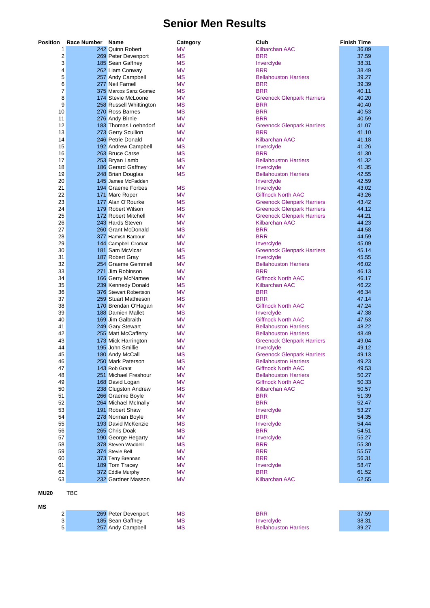### **Senior Men Results**

| Position | <b>Race Number</b> | <b>Name</b>             | <b>Category</b> | Club                                                      | <b>Finish Time</b> |
|----------|--------------------|-------------------------|-----------------|-----------------------------------------------------------|--------------------|
| 1        |                    | 242 Quinn Robert        | MV              | <b>Kilbarchan AAC</b>                                     | 36.09              |
| 2        |                    | 269 Peter Devenport     | <b>MS</b>       | <b>BRR</b>                                                | 37.59              |
| 3        |                    | 185 Sean Gaffney        | <b>MS</b>       | Inverclyde                                                | 38.31              |
| 4        |                    | 262 Liam Conway         | <b>MV</b>       | <b>BRR</b>                                                | 38.49              |
| 5        |                    | 257 Andy Campbell       | <b>MS</b>       | <b>Bellahouston Harriers</b>                              | 39.27              |
| 6        |                    | 277 Neil Farnell        | <b>MV</b>       | <b>BRR</b>                                                | 39.39              |
| 7        |                    | 375 Marcos Sanz Gomez   | <b>MS</b>       | <b>BRR</b>                                                | 40.11              |
| 8        |                    | 174 Stevie McLoone      | <b>MV</b>       | <b>Greenock Glenpark Harriers</b>                         | 40.20              |
| 9        |                    | 258 Russell Whittington | <b>MS</b>       | <b>BRR</b>                                                | 40.40              |
| 10       |                    |                         | <b>MS</b>       | <b>BRR</b>                                                | 40.53              |
|          |                    | 270 Ross Barnes         |                 |                                                           |                    |
| 11       |                    | 276 Andy Birnie         | <b>MV</b>       | <b>BRR</b>                                                | 40.59              |
| 12       |                    | 183 Thomas Loehndorf    | <b>MV</b>       | <b>Greenock Glenpark Harriers</b>                         | 41.07              |
| 13       |                    | 273 Gerry Scullion      | <b>MV</b>       | <b>BRR</b>                                                | 41.10              |
| 14       |                    | 246 Petrie Donald       | <b>MV</b>       | <b>Kilbarchan AAC</b>                                     | 41.18              |
| 15       |                    | 192 Andrew Campbell     | <b>MS</b>       | Inverclyde                                                | 41.26              |
| 16       |                    | 263 Bruce Carse         | <b>MS</b>       | <b>BRR</b>                                                | 41.30              |
| 17       |                    | 253 Bryan Lamb          | <b>MS</b>       | <b>Bellahouston Harriers</b>                              | 41.32              |
| 18       |                    | 186 Gerard Gaffney      | <b>MV</b>       | Inverclyde                                                | 41.35              |
| 19       |                    | 248 Brian Douglas       | <b>MS</b>       | <b>Bellahouston Harriers</b>                              | 42.55              |
| 20       |                    | 145 James McFadden      |                 | Inverclyde                                                | 42.59              |
| 21       |                    | 194 Graeme Forbes       | <b>MS</b>       | Inverclyde                                                | 43.02              |
| 22       |                    | 171 Marc Roper          | <b>MV</b>       | <b>Giffnock North AAC</b>                                 | 43.26              |
| 23       |                    | 177 Alan O'Rourke       | <b>MS</b>       | <b>Greenock Glenpark Harriers</b>                         | 43.42              |
| 24       |                    | 179 Robert Wilson       | <b>MS</b>       | <b>Greenock Glenpark Harriers</b>                         | 44.12              |
| 25       |                    | 172 Robert Mitchell     | <b>MV</b>       | <b>Greenock Glenpark Harriers</b>                         | 44.21              |
| 26       |                    | 243 Hards Steven        | <b>MV</b>       | <b>Kilbarchan AAC</b>                                     | 44.23              |
| 27       |                    | 260 Grant McDonald      | <b>MS</b>       | <b>BRR</b>                                                | 44.58              |
| 28       |                    |                         |                 | <b>BRR</b>                                                | 44.59              |
|          |                    | 377 Hamish Barbour      | <b>MV</b>       |                                                           |                    |
| 29       |                    | 144 Campbell Cromar     | <b>MV</b>       | Inverclyde                                                | 45.09              |
| 30       |                    | 181 Sam McVicar         | <b>MS</b>       | <b>Greenock Glenpark Harriers</b>                         | 45.14              |
| 31       |                    | 187 Robert Gray         | <b>MS</b>       | Inverclyde                                                | 45.55              |
| 32       |                    | 254 Graeme Gemmell      | <b>MV</b>       | <b>Bellahouston Harriers</b>                              | 46.02              |
| 33       |                    | 271 Jim Robinson        | <b>MV</b>       | <b>BRR</b>                                                | 46.13              |
| 34       |                    | 166 Gerry McNamee       | <b>MV</b>       | <b>Giffnock North AAC</b>                                 | 46.17              |
| 35       |                    | 239 Kennedy Donald      | <b>MS</b>       | <b>Kilbarchan AAC</b>                                     | 46.22              |
| 36       |                    | 376 Stewart Robertson   | <b>MV</b>       | <b>BRR</b>                                                | 46.34              |
| 37       |                    | 259 Stuart Mathieson    | <b>MS</b>       | <b>BRR</b>                                                | 47.14              |
| 38       |                    | 170 Brendan O'Hagan     | <b>MV</b>       | <b>Giffnock North AAC</b>                                 | 47.24              |
| 39       |                    | 188 Damien Mallet       | <b>MS</b>       | Inverclyde                                                | 47.38              |
| 40       |                    | 169 Jim Galbraith       | <b>MV</b>       | <b>Giffnock North AAC</b>                                 | 47.53              |
| 41       |                    | 249 Gary Stewart        | <b>MV</b>       | <b>Bellahouston Harriers</b>                              | 48.22              |
| 42       |                    | 255 Matt McCafferty     | <b>MV</b>       | <b>Bellahouston Harriers</b>                              | 48.49              |
| 43       |                    | 173 Mick Harrington     | MV              | <b>Greenock Glenpark Harriers</b>                         | 49.04              |
| 44       |                    | 195 John Smillie        | <b>MV</b>       | Inverclyde                                                | 49.12              |
| 45       |                    | 180 Andy McCall         | <b>MS</b>       | <b>Greenock Glenpark Harriers</b>                         | 49.13              |
| 46       |                    |                         | <b>MS</b>       |                                                           |                    |
|          |                    | 250 Mark Paterson       |                 | <b>Bellahouston Harriers</b><br><b>Giffnock North AAC</b> | 49.23              |
| 47       |                    | 143 Rob Grant           | <b>MV</b>       |                                                           | 49.53              |
| 48       |                    | 251 Michael Freshour    | MV              | <b>Bellahouston Harriers</b>                              | 50.27              |
| 49       |                    | 168 David Logan         | <b>MV</b>       | <b>Giffnock North AAC</b>                                 | 50.33              |
| 50       |                    | 238 Clugston Andrew     | <b>MS</b>       | <b>Kilbarchan AAC</b>                                     | 50.57              |
| 51       |                    | 266 Graeme Boyle        | <b>MV</b>       | <b>BRR</b>                                                | 51.39              |
| 52       |                    | 264 Michael McInally    | <b>MV</b>       | <b>BRR</b>                                                | 52.47              |
| 53       |                    | 191 Robert Shaw         | MV              | Inverclyde                                                | 53.27              |
| 54       |                    | 278 Norman Boyle        | <b>MV</b>       | <b>BRR</b>                                                | 54.35              |
| 55       |                    | 193 David McKenzie      | <b>MS</b>       | Inverclyde                                                | 54.44              |
| 56       |                    | 265 Chris Doak          | <b>MS</b>       | <b>BRR</b>                                                | 54.51              |
| 57       |                    | 190 George Hegarty      | <b>MV</b>       | Inverclyde                                                | 55.27              |
| 58       |                    | 378 Steven Waddell      | <b>MS</b>       | <b>BRR</b>                                                | 55.30              |
| 59       |                    | 374 Stevie Bell         | <b>MV</b>       | <b>BRR</b>                                                | 55.57              |
| 60       |                    | 373 Terry Brennan       | MV              | <b>BRR</b>                                                | 56.31              |
| 61       |                    | 189 Tom Tracey          | <b>MV</b>       | Inverclyde                                                | 58.47              |
| 62       |                    | 372 Eddie Murphy        | <b>MV</b>       | <b>BRR</b>                                                | 61.52              |
| 63       |                    |                         |                 |                                                           | 62.55              |
|          |                    | 232 Gardner Masson      | MV              | Kilbarchan AAC                                            |                    |

### **MU20** TBC

#### **MS**

| ∠ | 269 Peter Devenport | МS        | <b>BRR</b>                   | 37.59 |
|---|---------------------|-----------|------------------------------|-------|
|   | 185 Sean Gaffney    | MS        | Invercivde                   | 38.31 |
|   | 257 Andy Campbell   | <b>MS</b> | <b>Bellahouston Harriers</b> | 39.27 |

| 37.59 |
|-------|
| 38.31 |
| 39.27 |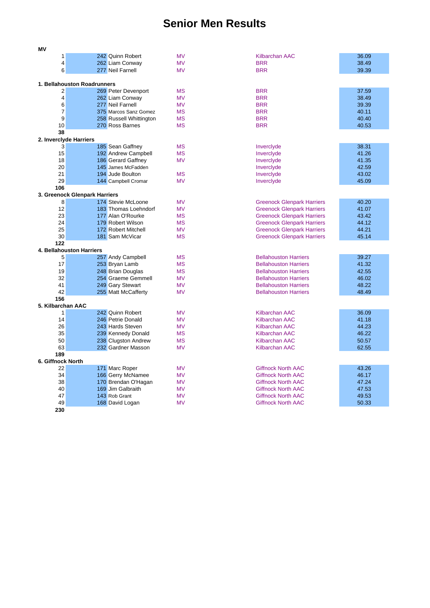## **Senior Men Results**

| ΜV                     |                               |                         |           |                                   |       |
|------------------------|-------------------------------|-------------------------|-----------|-----------------------------------|-------|
| 1                      |                               | 242 Quinn Robert        | <b>MV</b> | Kilbarchan AAC                    | 36.09 |
| 4                      |                               | 262 Liam Conway         | <b>MV</b> | <b>BRR</b>                        | 38.49 |
| 6                      |                               | 277 Neil Farnell        | <b>MV</b> | <b>BRR</b>                        | 39.39 |
|                        |                               |                         |           |                                   |       |
|                        | 1. Bellahouston Roadrunners   |                         |           |                                   |       |
| 2                      |                               | 269 Peter Devenport     | <b>MS</b> | <b>BRR</b>                        | 37.59 |
| 4                      |                               | 262 Liam Conway         | <b>MV</b> | <b>BRR</b>                        | 38.49 |
| 6                      |                               | 277 Neil Farnell        | <b>MV</b> | <b>BRR</b>                        | 39.39 |
| 7                      |                               | 375 Marcos Sanz Gomez   | <b>MS</b> | <b>BRR</b>                        | 40.11 |
| 9                      |                               | 258 Russell Whittington | <b>MS</b> | <b>BRR</b>                        | 40.40 |
| 10                     |                               | 270 Ross Barnes         | <b>MS</b> | <b>BRR</b>                        | 40.53 |
| 38                     |                               |                         |           |                                   |       |
| 2. Inverclyde Harriers |                               |                         |           |                                   |       |
| 3                      |                               | 185 Sean Gaffney        | <b>MS</b> | Inverclyde                        | 38.31 |
| 15                     |                               | 192 Andrew Campbell     | <b>MS</b> | Inverclyde                        | 41.26 |
| 18                     |                               | 186 Gerard Gaffney      | <b>MV</b> | Inverclyde                        | 41.35 |
| 20                     |                               | 145 James McFadden      |           | Inverclyde                        | 42.59 |
| 21                     |                               | 194 Jude Boulton        | <b>MS</b> | Inverclyde                        | 43.02 |
| 29                     |                               | 144 Campbell Cromar     | <b>MV</b> | Inverclyde                        | 45.09 |
| 106                    |                               |                         |           |                                   |       |
|                        | 3. Greenock Glenpark Harriers |                         |           |                                   |       |
| 8                      |                               | 174 Stevie McLoone      | <b>MV</b> | <b>Greenock Glenpark Harriers</b> | 40.20 |
| 12                     |                               | 183 Thomas Loehndorf    | <b>MV</b> | <b>Greenock Glenpark Harriers</b> | 41.07 |
| 23                     |                               | 177 Alan O'Rourke       | <b>MS</b> | <b>Greenock Glenpark Harriers</b> | 43.42 |
| 24                     |                               | 179 Robert Wilson       | <b>MS</b> | <b>Greenock Glenpark Harriers</b> | 44.12 |
| 25                     |                               | 172 Robert Mitchell     | <b>MV</b> | <b>Greenock Glenpark Harriers</b> | 44.21 |
| 30                     |                               | 181 Sam McVicar         | <b>MS</b> | <b>Greenock Glenpark Harriers</b> | 45.14 |
| 122                    | 4. Bellahouston Harriers      |                         |           |                                   |       |
| 5                      |                               | 257 Andy Campbell       | <b>MS</b> | <b>Bellahouston Harriers</b>      | 39.27 |
| 17                     |                               | 253 Bryan Lamb          | <b>MS</b> | <b>Bellahouston Harriers</b>      | 41.32 |
| 19                     |                               | 248 Brian Douglas       | <b>MS</b> | <b>Bellahouston Harriers</b>      | 42.55 |
| 32                     |                               | 254 Graeme Gemmell      | <b>MV</b> | <b>Bellahouston Harriers</b>      | 46.02 |
| 41                     |                               | 249 Gary Stewart        | <b>MV</b> | <b>Bellahouston Harriers</b>      | 48.22 |
| 42                     |                               | 255 Matt McCafferty     | <b>MV</b> | <b>Bellahouston Harriers</b>      | 48.49 |
| 156                    |                               |                         |           |                                   |       |
| 5. Kilbarchan AAC      |                               |                         |           |                                   |       |
| 1                      |                               | 242 Quinn Robert        | <b>MV</b> | <b>Kilbarchan AAC</b>             | 36.09 |
| 14                     |                               | 246 Petrie Donald       | <b>MV</b> | <b>Kilbarchan AAC</b>             | 41.18 |
| 26                     |                               | 243 Hards Steven        | <b>MV</b> | Kilbarchan AAC                    | 44.23 |
| 35                     |                               | 239 Kennedy Donald      | <b>MS</b> | <b>Kilbarchan AAC</b>             | 46.22 |
| 50                     |                               | 238 Clugston Andrew     | <b>MS</b> | <b>Kilbarchan AAC</b>             | 50.57 |
| 63                     |                               | 232 Gardner Masson      | <b>MV</b> | Kilbarchan AAC                    | 62.55 |
| 189                    |                               |                         |           |                                   |       |
| 6. Giffnock North      |                               |                         |           |                                   |       |
| 22                     |                               | 171 Marc Roper          | <b>MV</b> | <b>Giffnock North AAC</b>         | 43.26 |
| 34                     |                               | 166 Gerry McNamee       | <b>MV</b> | <b>Giffnock North AAC</b>         | 46.17 |
| 38                     |                               | 170 Brendan O'Hagan     | <b>MV</b> | <b>Giffnock North AAC</b>         | 47.24 |
| 40                     |                               | 169 Jim Galbraith       | <b>MV</b> | <b>Giffnock North AAC</b>         | 47.53 |
| 47                     |                               | 143 Rob Grant           | <b>MV</b> | <b>Giffnock North AAC</b>         | 49.53 |
| 49                     |                               | 168 David Logan         | <b>MV</b> | <b>Giffnock North AAC</b>         | 50.33 |
| 230                    |                               |                         |           |                                   |       |